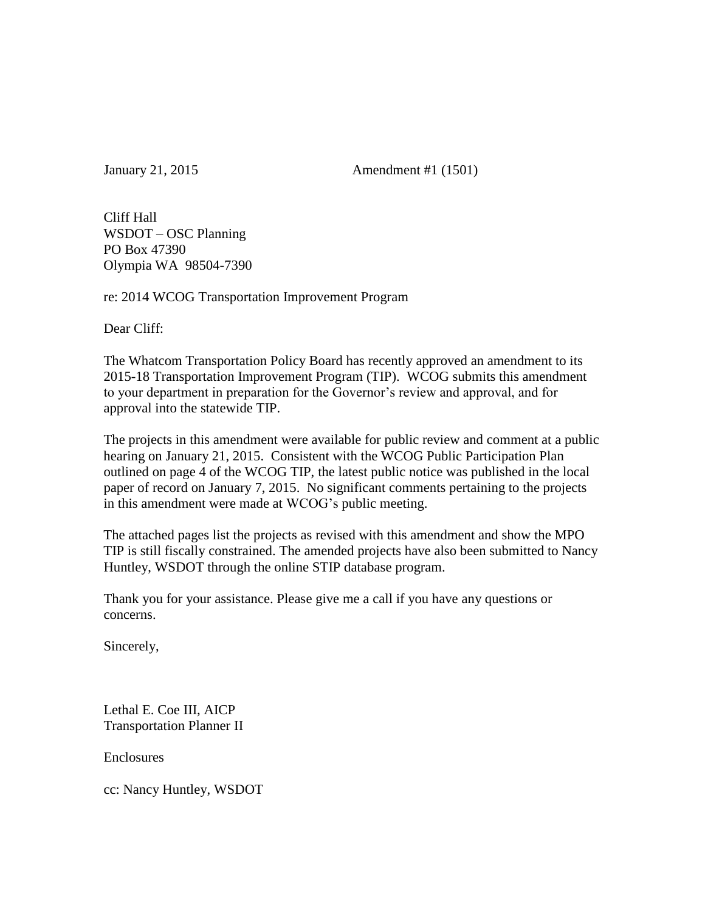January 21, 2015 Amendment #1 (1501)

Cliff Hall WSDOT – OSC Planning PO Box 47390 Olympia WA 98504-7390

re: 2014 WCOG Transportation Improvement Program

Dear Cliff:

The Whatcom Transportation Policy Board has recently approved an amendment to its 2015-18 Transportation Improvement Program (TIP). WCOG submits this amendment to your department in preparation for the Governor's review and approval, and for approval into the statewide TIP.

The projects in this amendment were available for public review and comment at a public hearing on January 21, 2015. Consistent with the WCOG Public Participation Plan outlined on page 4 of the WCOG TIP, the latest public notice was published in the local paper of record on January 7, 2015. No significant comments pertaining to the projects in this amendment were made at WCOG's public meeting.

The attached pages list the projects as revised with this amendment and show the MPO TIP is still fiscally constrained. The amended projects have also been submitted to Nancy Huntley, WSDOT through the online STIP database program.

Thank you for your assistance. Please give me a call if you have any questions or concerns.

Sincerely,

Lethal E. Coe III, AICP Transportation Planner II

**Enclosures** 

cc: Nancy Huntley, WSDOT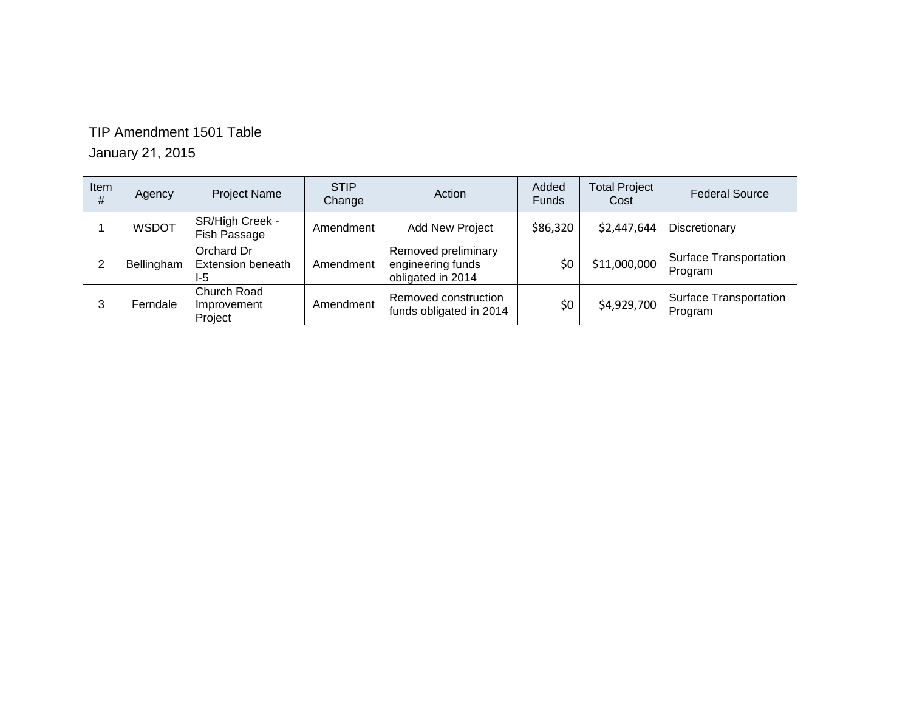### TIP Amendment 1501 Table

January 21, 2015

| Item<br># | Agency       | <b>Project Name</b>                           | <b>STIP</b><br>Change | Action                                                        | Added<br><b>Funds</b> | <b>Total Project</b><br>Cost | <b>Federal Source</b>                    |
|-----------|--------------|-----------------------------------------------|-----------------------|---------------------------------------------------------------|-----------------------|------------------------------|------------------------------------------|
|           | <b>WSDOT</b> | SR/High Creek -<br>Fish Passage               | Amendment             | <b>Add New Project</b>                                        | \$86,320              | \$2,447,644                  | Discretionary                            |
| ົ         | Bellingham   | Orchard Dr<br><b>Extension beneath</b><br>I-5 | Amendment             | Removed preliminary<br>engineering funds<br>obligated in 2014 | \$0                   | \$11,000,000                 | <b>Surface Transportation</b><br>Program |
| 3         | Ferndale     | Church Road<br>Improvement<br>Project         | Amendment             | Removed construction<br>funds obligated in 2014               | \$0                   | \$4,929,700                  | <b>Surface Transportation</b><br>Program |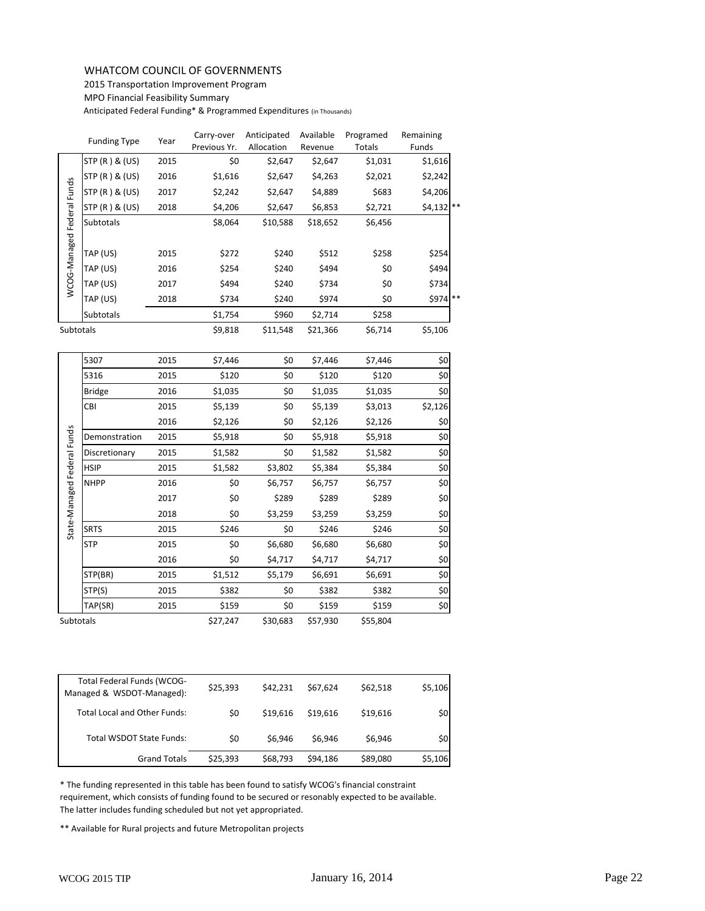### WHATCOM COUNCIL OF GOVERNMENTS

2015 Transportation Improvement Program

MPO Financial Feasibility Summary

Anticipated Federal Funding\* & Programmed Expenditures (in Thousands)

|                            | <b>Funding Type</b> | Year | Carry-over<br>Previous Yr. | Anticipated<br>Allocation | Available<br>Revenue | Programed<br>Totals | Remaining<br><b>Funds</b> |
|----------------------------|---------------------|------|----------------------------|---------------------------|----------------------|---------------------|---------------------------|
|                            | STP (R) & (US)      | 2015 | \$0                        | \$2,647                   | \$2,647              | \$1,031             | \$1,616                   |
|                            | STP (R) & (US)      | 2016 | \$1,616                    | \$2,647                   | \$4,263              | \$2,021             | \$2,242                   |
|                            | STP(R) & (US)       | 2017 | \$2,242                    | \$2,647                   | \$4,889              | \$683               | \$4,206                   |
|                            | STP (R) & (US)      | 2018 | \$4,206                    | \$2,647                   | \$6,853              | \$2,721             | $$4,132$ **               |
| WCOG-Managed Federal Funds | Subtotals           |      | \$8,064                    | \$10,588                  | \$18,652             | \$6,456             |                           |
|                            |                     |      |                            |                           |                      |                     |                           |
|                            | TAP (US)            | 2015 | \$272                      | \$240                     | \$512                | \$258               | \$254                     |
|                            | TAP (US)            | 2016 | \$254                      | \$240                     | \$494                | \$0                 | \$494                     |
|                            | TAP (US)            | 2017 | \$494                      | \$240                     | \$734                | \$0                 | \$734                     |
|                            | TAP (US)            | 2018 | \$734                      | \$240                     | \$974                | \$0                 | \$974 **                  |
|                            | <b>Subtotals</b>    |      | \$1,754                    | \$960                     | \$2,714              | \$258               |                           |
| Subtotals                  |                     |      | \$9,818                    | \$11,548                  | \$21,366             | \$6,714             | \$5,106                   |

|                             | STP (R) & (US)                                                                                                                                                                                                                                                                                                                            | 2017                | \$2,242  | \$2,647  | \$4,889  | \$683    | \$4,206 |
|-----------------------------|-------------------------------------------------------------------------------------------------------------------------------------------------------------------------------------------------------------------------------------------------------------------------------------------------------------------------------------------|---------------------|----------|----------|----------|----------|---------|
|                             | STP (R) & (US)                                                                                                                                                                                                                                                                                                                            | 2018                | \$4,206  | \$2,647  | \$6,853  | \$2,721  | \$4,132 |
| WCOG-Managed Federal Funds  | Subtotals                                                                                                                                                                                                                                                                                                                                 |                     | \$8,064  | \$10,588 | \$18,652 | \$6,456  |         |
|                             |                                                                                                                                                                                                                                                                                                                                           |                     |          |          |          |          |         |
|                             | TAP (US)                                                                                                                                                                                                                                                                                                                                  | 2015                | \$272    | \$240    | \$512    | \$258    | \$254   |
|                             | TAP (US)                                                                                                                                                                                                                                                                                                                                  | 2016                | \$254    | \$240    | \$494    | \$0      | \$494   |
|                             | TAP (US)                                                                                                                                                                                                                                                                                                                                  | 2017                | \$494    | \$240    | \$734    | \$0      | \$734   |
|                             | TAP (US)                                                                                                                                                                                                                                                                                                                                  | 2018                | \$734    | \$240    | \$974    | \$0      | \$974   |
|                             | Subtotals                                                                                                                                                                                                                                                                                                                                 |                     | \$1,754  | \$960    | \$2,714  | \$258    |         |
| Subtotals                   |                                                                                                                                                                                                                                                                                                                                           |                     | \$9,818  | \$11,548 | \$21,366 | \$6,714  | \$5,106 |
|                             | 5307                                                                                                                                                                                                                                                                                                                                      | 2015                | \$7,446  | \$0      | \$7,446  | \$7,446  | \$0     |
|                             | 5316                                                                                                                                                                                                                                                                                                                                      | 2015                | \$120    | \$0      | \$120    | \$120    | \$0     |
|                             | <b>Bridge</b>                                                                                                                                                                                                                                                                                                                             | 2016                | \$1,035  | \$0      | \$1,035  | \$1,035  | \$0     |
|                             | CBI                                                                                                                                                                                                                                                                                                                                       | 2015                | \$5,139  | \$0      | \$5,139  | \$3,013  | \$2,126 |
|                             |                                                                                                                                                                                                                                                                                                                                           | 2016                | \$2,126  | \$0      | \$2,126  | \$2,126  | \$0     |
| State-Managed Federal Funds | Demonstration                                                                                                                                                                                                                                                                                                                             | 2015                | \$5,918  | \$0      | \$5,918  | \$5,918  | \$0     |
|                             | Discretionary                                                                                                                                                                                                                                                                                                                             | 2015                | \$1,582  | \$0      | \$1,582  | \$1,582  | \$0     |
|                             | <b>HSIP</b>                                                                                                                                                                                                                                                                                                                               | 2015                | \$1,582  | \$3,802  | \$5,384  | \$5,384  | \$0     |
|                             | <b>NHPP</b>                                                                                                                                                                                                                                                                                                                               | 2016                | \$0      | \$6,757  | \$6,757  | \$6,757  | \$0     |
|                             |                                                                                                                                                                                                                                                                                                                                           | 2017                | \$0      | \$289    | \$289    | \$289    | \$0     |
|                             |                                                                                                                                                                                                                                                                                                                                           | 2018                | \$0      | \$3,259  | \$3,259  | \$3,259  | \$0     |
|                             | <b>SRTS</b>                                                                                                                                                                                                                                                                                                                               | 2015                | \$246    | \$0      | \$246    | \$246    | \$0     |
|                             | <b>STP</b>                                                                                                                                                                                                                                                                                                                                | 2015                | \$0      | \$6,680  | \$6,680  | \$6,680  | \$0     |
|                             |                                                                                                                                                                                                                                                                                                                                           | 2016                | \$0      | \$4,717  | \$4,717  | \$4,717  | \$0     |
|                             | STP(BR)                                                                                                                                                                                                                                                                                                                                   | 2015                | \$1,512  | \$5,179  | \$6,691  | \$6,691  | \$0     |
|                             | STP(S)                                                                                                                                                                                                                                                                                                                                    | 2015                | \$382    | \$0      | \$382    | \$382    | \$0     |
|                             | TAP(SR)                                                                                                                                                                                                                                                                                                                                   | 2015                | \$159    | \$0      | \$159    | \$159    | \$0     |
| Subtotals                   |                                                                                                                                                                                                                                                                                                                                           |                     | \$27,247 | \$30,683 | \$57,930 | \$55,804 |         |
|                             |                                                                                                                                                                                                                                                                                                                                           |                     |          |          |          |          |         |
|                             | Total Federal Funds (WCOG-<br>Managed & WSDOT-Managed):                                                                                                                                                                                                                                                                                   |                     | \$25,393 | \$42,231 | \$67,624 | \$62,518 | \$5,106 |
|                             | Total Local and Other Funds:                                                                                                                                                                                                                                                                                                              |                     | \$0      | \$19,616 | \$19,616 | \$19,616 | \$0     |
|                             | Total WSDOT State Funds:                                                                                                                                                                                                                                                                                                                  |                     | \$0      | \$6,946  | \$6,946  | \$6,946  | \$0     |
|                             |                                                                                                                                                                                                                                                                                                                                           | <b>Grand Totals</b> | \$25,393 | \$68,793 | \$94,186 | \$89,080 | \$5,106 |
|                             | * The funding represented in this table has been found to satisfy WCOG's financial constraint<br>requirement, which consists of funding found to be secured or resonably expected to be available.<br>The latter includes funding scheduled but not yet appropriated.<br>** Available for Rural projects and future Metropolitan projects |                     |          |          |          |          |         |
|                             |                                                                                                                                                                                                                                                                                                                                           |                     |          |          |          |          |         |

| Total Federal Funds (WCOG-<br>Managed & WSDOT-Managed): | \$25,393 | \$42,231 | \$67,624 | \$62,518 | \$5,106 |
|---------------------------------------------------------|----------|----------|----------|----------|---------|
| <b>Total Local and Other Funds:</b>                     | \$0      | \$19,616 | \$19,616 | \$19,616 | \$0     |
| <b>Total WSDOT State Funds:</b>                         | \$0      | \$6,946  | \$6,946  | \$6,946  | \$0     |
| <b>Grand Totals</b>                                     | \$25,393 | \$68,793 | \$94,186 | \$89,080 | \$5,106 |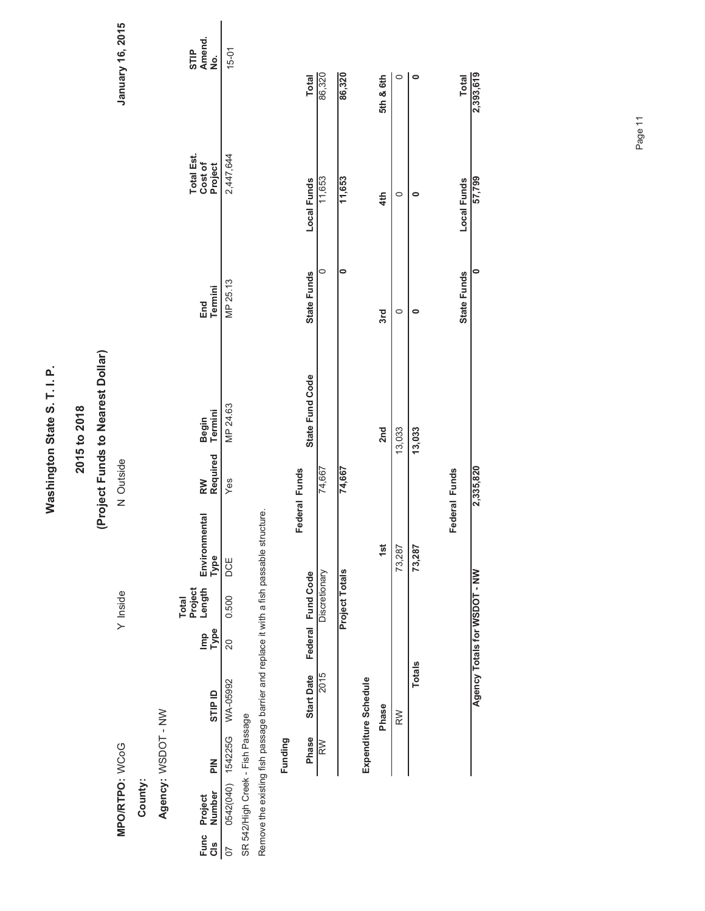Washington State S. T. I. P. **Washington State S. T. I. P.**

### **2015 to 2018**

## (Project Funds to Nearest Dollar) **(Project Funds to Nearest Dollar)**

N Outside

January 16, 2015

**MPO/RTPO:** WCoG Y Inside N Outside **January 16, 2015**  $Y$  Inside MPO/RTPO: WCoG

**County:**

Agency: WSDOT - NW **Agency:** WSDOT - NW

|                                  |               |                                                                                   |             | Project<br><b>Total</b> |                              |                    |                    |                |                                  |                       |
|----------------------------------|---------------|-----------------------------------------------------------------------------------|-------------|-------------------------|------------------------------|--------------------|--------------------|----------------|----------------------------------|-----------------------|
| Func Project<br>Cls Number I     | $\frac{2}{5}$ | <b>GTIP ID</b>                                                                    | lmp<br>Type |                         | Length Environmental<br>Type | Required<br>R<br>M | Begin<br>J Termini | End<br>Termini | Total Est.<br>Cost of<br>Project | STIP<br>Amend.<br>No. |
| 07 0542(040) 154225G WA-05992    |               |                                                                                   |             | 20 0.500 DCE            |                              | es                 | VIP 24.63          | VIP 25.13      | 2,447,644                        | $15-01$               |
| SR 542/High Creek - Fish Passage |               |                                                                                   |             |                         |                              |                    |                    |                |                                  |                       |
|                                  |               | Remove the existing fish passage barrier and replace it with a fish passable stru |             |                         |                              |                    |                    |                |                                  |                       |

| 2,393,619    | 57,799      |             |                 | 2,335,820     | Agency Totals for WSDOT - NW  |                      |         |
|--------------|-------------|-------------|-----------------|---------------|-------------------------------|----------------------|---------|
| <b>Total</b> | Local Funds | State Funds |                 | Federal Funds |                               |                      |         |
| 0            |             |             | 13,033          |               | 73,287                        | <b>Totals</b>        |         |
|              |             |             | 13,033          |               | 73,287                        | RW                   |         |
| 5th & 6th    | 4th         | 3rd         | 2nd             |               | $\frac{5}{15}$                | Phase                |         |
|              |             |             |                 |               |                               | Expenditure Schedule |         |
| 86,320       | 11,653      |             |                 | 74,667        | $\frac{5}{1}$<br>Project Tota |                      |         |
| 86,320       | 11,653      | c           |                 | 74,667        | Discretionary                 | 2015                 | RW      |
| <b>Total</b> | Local Funds | State Funds | State Fund Code | Federal Funds | थ<br>Federal Fund Cod         | <b>Start Date</b>    | Phase   |
|              |             |             |                 |               |                               |                      | Funding |

Page 11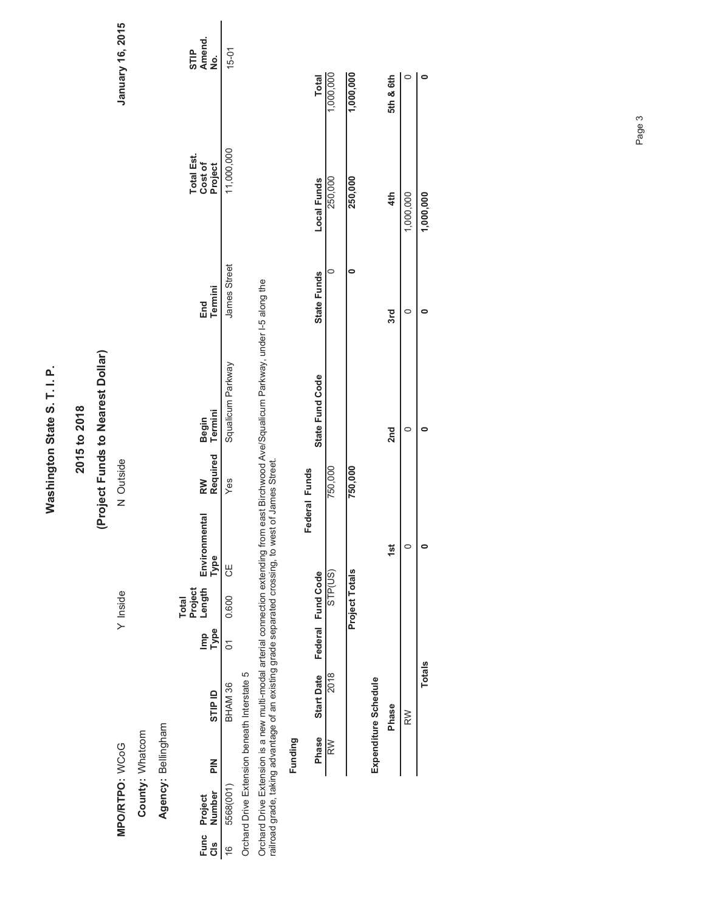| ٠                     |
|-----------------------|
| Ω                     |
|                       |
|                       |
|                       |
|                       |
| н                     |
|                       |
| $\boldsymbol{a}$<br>າ |
|                       |
|                       |
|                       |
| )<br>}<br>}           |
|                       |
|                       |
|                       |
|                       |
|                       |
|                       |
| ı                     |
|                       |
|                       |
|                       |
|                       |
| l                     |
|                       |
|                       |
|                       |

# 2015 to 2018<br>(Project Funds to Nearest Dollar) **(Project Funds to Nearest Dollar)**

County: Whatcom

Agency: Bellingham **Agency:** Bellingham **County:** Whatcom

| Cls Number<br>Func Project | <u>같</u> | <b>GTIP ID</b>                                                                                    | 음<br>다음 | Length<br><sup>P</sup> roject<br><b>Total</b> | Environmental<br>Type | Required Termini<br>RW | Begin                                                                                                                                     | Termini<br>End | <b>Total Est.</b><br>Cost of<br>Project | STIP<br>Amend.<br>。<br>2 |
|----------------------------|----------|---------------------------------------------------------------------------------------------------|---------|-----------------------------------------------|-----------------------|------------------------|-------------------------------------------------------------------------------------------------------------------------------------------|----------------|-----------------------------------------|--------------------------|
| 5568(001)                  |          | BHAM 36                                                                                           |         | 01 0.600 CE                                   |                       | yez                    | Squalicum Parkway                                                                                                                         | James Street   | 11,000,000                              | $15-01$                  |
|                            |          | Orchard Drive Extension beneath Interstate 5                                                      |         |                                               |                       |                        |                                                                                                                                           |                |                                         |                          |
|                            |          | railroad grade, taking advantage of an existing grade separated crossing, to west of James Street |         |                                               |                       |                        | Orchard Drive Extension is a new multi-modal arterial connection extending from east Birchwood Ave/Squalicum Parkway, under I-5 along the |                |                                         |                          |

|         | Total                              | 1,000,000 | $\frac{1,000,000}{\sqrt{1}}$ |                      | 5th & 6th |           |               |
|---------|------------------------------------|-----------|------------------------------|----------------------|-----------|-----------|---------------|
|         | Local Funds                        | 250,000   | 250,000                      |                      | 4th       | 1,000,000 | 1,000,000     |
|         | <b>State Funds</b>                 |           |                              |                      | 3rd       |           |               |
|         | State Fund Code                    |           |                              |                      | 2nd       |           |               |
|         | Federal Funds                      | 750,000   | 750,000                      |                      | 1st       |           |               |
|         | Phase Start Date Federal Fund Code | STP(US)   | tals<br>Project To           |                      |           |           |               |
|         |                                    | 2018      |                              | Expenditure Schedule | Phase     | RW        | <b>Totals</b> |
| Funding |                                    | RW        |                              |                      |           |           |               |

Page 3